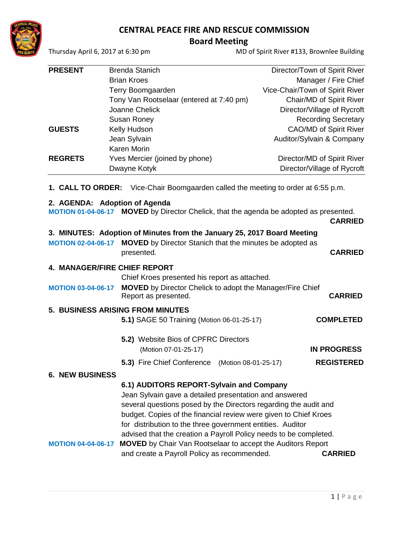# **CENTRAL PEACE FIRE AND RESCUE COMMISSION**

 **Board Meeting** 

Thursday April 6, 2017 at 6:30 pm MD of Spirit River #133, Brownlee Building

| <b>PRESENT</b> | <b>Brenda Stanich</b>                    | Director/Town of Spirit River   |
|----------------|------------------------------------------|---------------------------------|
|                | <b>Brian Kroes</b>                       | Manager / Fire Chief            |
|                | Terry Boomgaarden                        | Vice-Chair/Town of Spirit River |
|                | Tony Van Rootselaar (entered at 7:40 pm) | Chair/MD of Spirit River        |
|                | Joanne Chelick                           | Director/Village of Rycroft     |
|                | <b>Susan Roney</b>                       | <b>Recording Secretary</b>      |
| <b>GUESTS</b>  | Kelly Hudson                             | <b>CAO/MD of Spirit River</b>   |
|                | Jean Sylvain                             | Auditor/Sylvain & Company       |
|                | Karen Morin                              |                                 |
| <b>REGRETS</b> | Yves Mercier (joined by phone)           | Director/MD of Spirit River     |
|                | Dwayne Kotyk                             | Director/Village of Rycroft     |
|                |                                          |                                 |

**1. CALL TO ORDER:** Vice-Chair Boomgaarden called the meeting to order at 6:55 p.m.

## **2. AGENDA: Adoption of Agenda**

**MOTION 01-04-06-17 MOVED** by Director Chelick, that the agenda be adopted as presented.

|  | <b>CARRIED</b> |
|--|----------------|
|--|----------------|

# **3. MINUTES: Adoption of Minutes from the January 25, 2017 Board Meeting**

| <b>MOTION 02-04-06-17 MOVED</b> by Director Stanich that the minutes be adopted as |                |
|------------------------------------------------------------------------------------|----------------|
| presented.                                                                         | <b>CARRIED</b> |

### **4. MANAGER/FIRE CHIEF REPORT**

Chief Kroes presented his report as attached.

**MOTION 03-04-06-17 MOVED** by Director Chelick to adopt the Manager/Fire Chief Report as presented. **CARRIED**

# **5. BUSINESS ARISING FROM MINUTES**

- **5.1)** SAGE 50 Training (Motion 06-01-25-17) **COMPLETED**
- **5.2)** Website Bios of CPFRC Directors (Motion 07-01-25-17) **IN PROGRESS**
- **5.3)** Fire Chief Conference (Motion 08-01-25-17) **REGISTERED**

## **6. NEW BUSINESS**

## **6.1) AUDITORS REPORT-Sylvain and Company**

Jean Sylvain gave a detailed presentation and answered several questions posed by the Directors regarding the audit and budget. Copies of the financial review were given to Chief Kroes for distribution to the three government entities. Auditor advised that the creation a Payroll Policy needs to be completed.

# **MOTION 04-04-06-17 MOVED** by Chair Van Rootselaar to accept the Auditors Report and create a Payroll Policy as recommended. **CARRIED**